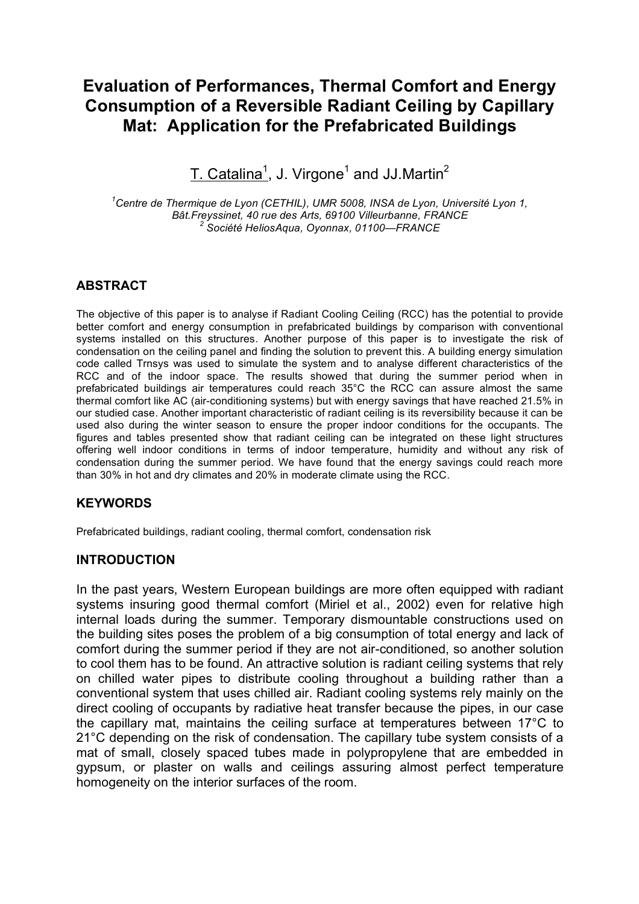# **Evaluation of Performances, Thermal Comfort and Energy Consumption of a Reversible Radiant Ceiling by Capillary Mat: Application for the Prefabricated Buildings**

 $\textrm{T.}$  Catalina $^1$ , J. Virgone $^1$  and JJ.Martin $^2$ 

*1 Centre de Thermique de Lyon (CETHIL), UMR 5008, INSA de Lyon, Université Lyon 1, Bât.Freyssinet, 40 rue des Arts, 69100 Villeurbanne, FRANCE <sup>2</sup> Société HeliosAqua, Oyonnax, 01100—FRANCE*

## **ABSTRACT**

The objective of this paper is to analyse if Radiant Cooling Ceiling (RCC) has the potential to provide better comfort and energy consumption in prefabricated buildings by comparison with conventional systems installed on this structures. Another purpose of this paper is to investigate the risk of condensation on the ceiling panel and finding the solution to prevent this. A building energy simulation code called Trnsys was used to simulate the system and to analyse different characteristics of the RCC and of the indoor space. The results showed that during the summer period when in prefabricated buildings air temperatures could reach 35°C the RCC can assure almost the same thermal comfort like AC (air-conditioning systems) but with energy savings that have reached 21.5% in our studied case. Another important characteristic of radiant ceiling is its reversibility because it can be used also during the winter season to ensure the proper indoor conditions for the occupants. The figures and tables presented show that radiant ceiling can be integrated on these light structures offering well indoor conditions in terms of indoor temperature, humidity and without any risk of condensation during the summer period. We have found that the energy savings could reach more than 30% in hot and dry climates and 20% in moderate climate using the RCC.

### **KEYWORDS**

Prefabricated buildings, radiant cooling, thermal comfort, condensation risk

### **INTRODUCTION**

In the past years, Western European buildings are more often equipped with radiant systems insuring good thermal comfort (Miriel et al., 2002) even for relative high internal loads during the summer. Temporary dismountable constructions used on the building sites poses the problem of a big consumption of total energy and lack of comfort during the summer period if they are not air-conditioned, so another solution to cool them has to be found. An attractive solution is radiant ceiling systems that rely on chilled water pipes to distribute cooling throughout a building rather than a conventional system that uses chilled air. Radiant cooling systems rely mainly on the direct cooling of occupants by radiative heat transfer because the pipes, in our case the capillary mat, maintains the ceiling surface at temperatures between 17°C to 21°C depending on the risk of condensation. The capillary tube system consists of a mat of small, closely spaced tubes made in polypropylene that are embedded in gypsum, or plaster on walls and ceilings assuring almost perfect temperature homogeneity on the interior surfaces of the room.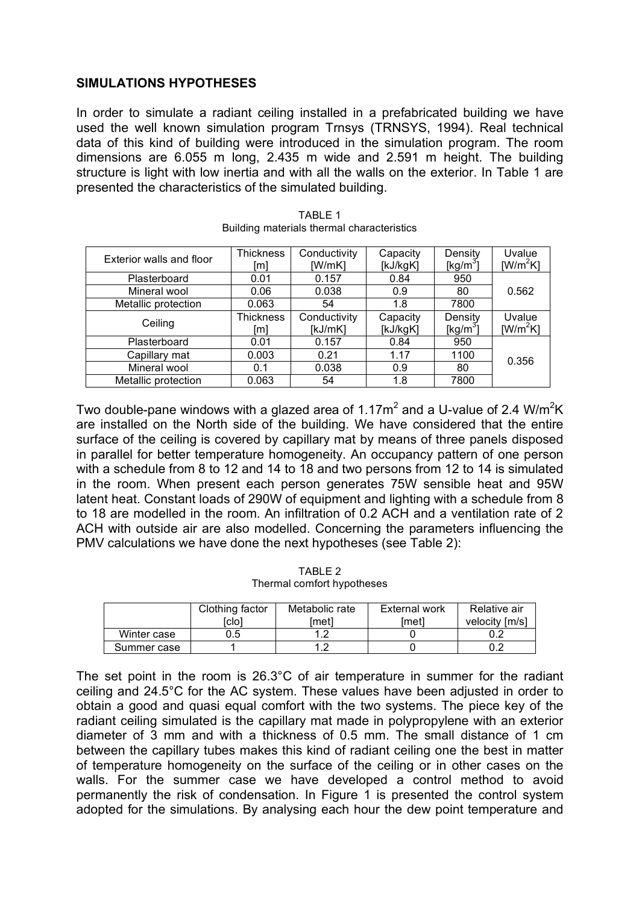### **SIMULATIONS HYPOTHESES**

In order to simulate a radiant ceiling installed in a prefabricated building we have used the well known simulation program Trnsys (TRNSYS, 1994). Real technical data of this kind of building were introduced in the simulation program. The room dimensions are 6.055 m long, 2.435 m wide and 2.591 m height. The building structure is light with low inertia and with all the walls on the exterior. In Table 1 are presented the characteristics of the simulated building.

| Exterior walls and floor | Thickness<br>[m]        | Conductivity<br>IW/mK1  | Capacity<br>[kJ/kgK] | Density<br>[kg/m <sup>3</sup> ] | Uvalue<br>$[W/m^2K]$ |  |
|--------------------------|-------------------------|-------------------------|----------------------|---------------------------------|----------------------|--|
| Plasterboard             | 0.01                    | 0.157                   | 0.84                 | 950                             |                      |  |
| Mineral wool             | 0.06                    | 0.038                   | 0.9                  | 80                              | 0.562                |  |
| Metallic protection      | 0.063                   | 54                      | 1.8                  | 7800                            |                      |  |
| Ceiling                  | <b>Thickness</b><br>[m] | Conductivity<br>[kJ/mK] | Capacity<br>[kJ/kgK] | Density<br>$[kg/m^3]$           | Uvalue<br>$[W/m^2K]$ |  |
| Plasterboard             | 0.01                    | 0.157                   | 0.84                 | 950                             |                      |  |
| Capillary mat            | 0.003                   | 0.21                    | 1.17                 | 1100                            | 0.356                |  |
| Mineral wool             | 0.1                     | 0.038                   | 0.9                  | 80                              |                      |  |
| Metallic protection      | 0.063                   | 54                      | 1.8                  | 7800                            |                      |  |

TABLE 1 Building materials thermal characteristics

Two double-pane windows with a glazed area of 1.17m<sup>2</sup> and a U-value of 2.4 W/m<sup>2</sup>K are installed on the North side of the building. We have considered that the entire surface of the ceiling is covered by capillary mat by means of three panels disposed in parallel for better temperature homogeneity. An occupancy pattern of one person with a schedule from 8 to 12 and 14 to 18 and two persons from 12 to 14 is simulated in the room. When present each person generates 75W sensible heat and 95W latent heat. Constant loads of 290W of equipment and lighting with a schedule from 8 to 18 are modelled in the room. An infiltration of 0.2 ACH and a ventilation rate of 2 ACH with outside air are also modelled. Concerning the parameters influencing the PMV calculations we have done the next hypotheses (see Table 2):

|             | Clothing factor | Metabolic rate | External work | Relative air   |
|-------------|-----------------|----------------|---------------|----------------|
|             | [clo            | lmetl          | 'met1         | velocity [m/s] |
| Winter case | 0.5             |                |               |                |
| Summer case |                 |                |               |                |

TABLE 2 Thermal comfort hypotheses

The set point in the room is 26.3°C of air temperature in summer for the radiant ceiling and 24.5°C for the AC system. These values have been adjusted in order to obtain a good and quasi equal comfort with the two systems. The piece key of the radiant ceiling simulated is the capillary mat made in polypropylene with an exterior diameter of 3 mm and with a thickness of 0.5 mm. The small distance of 1 cm between the capillary tubes makes this kind of radiant ceiling one the best in matter of temperature homogeneity on the surface of the ceiling or in other cases on the walls. For the summer case we have developed a control method to avoid permanently the risk of condensation. In Figure 1 is presented the control system adopted for the simulations. By analysing each hour the dew point temperature and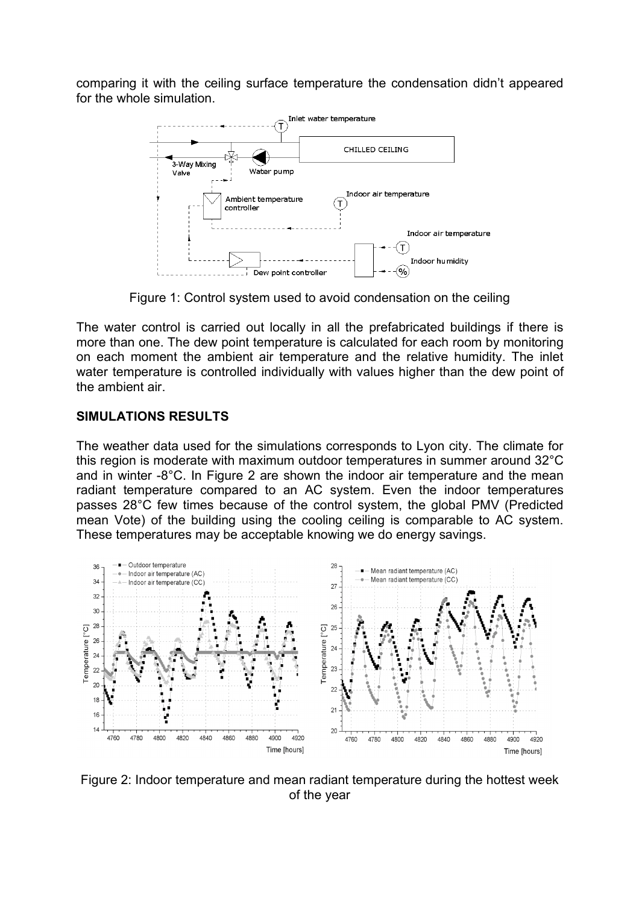comparing it with the ceiling surface temperature the condensation didn't appeared for the whole simulation.



Figure 1: Control system used to avoid condensation on the ceiling

The water control is carried out locally in all the prefabricated buildings if there is more than one. The dew point temperature is calculated for each room by monitoring on each moment the ambient air temperature and the relative humidity. The inlet water temperature is controlled individually with values higher than the dew point of the ambient air.

### **SIMULATIONS RESULTS**

The weather data used for the simulations corresponds to Lyon city. The climate for this region is moderate with maximum outdoor temperatures in summer around 32°C and in winter -8°C. In Figure 2 are shown the indoor air temperature and the mean radiant temperature compared to an AC system. Even the indoor temperatures passes 28°C few times because of the control system, the global PMV (Predicted mean Vote) of the building using the cooling ceiling is comparable to AC system. These temperatures may be acceptable knowing we do energy savings.



Figure 2: Indoor temperature and mean radiant temperature during the hottest week of the year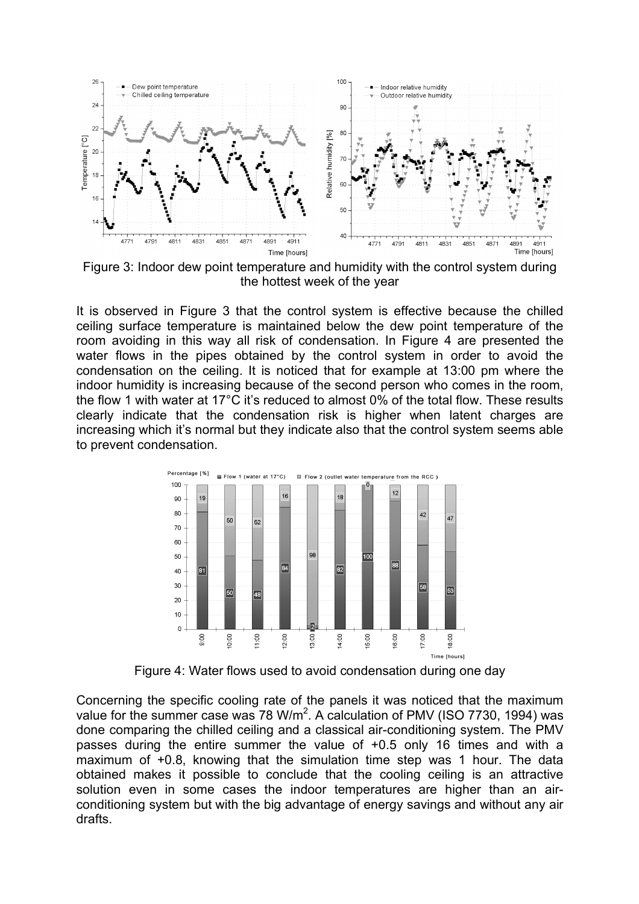

Figure 3: Indoor dew point temperature and humidity with the control system during the hottest week of the year

It is observed in Figure 3 that the control system is effective because the chilled ceiling surface temperature is maintained below the dew point temperature of the room avoiding in this way all risk of condensation. In Figure 4 are presented the water flows in the pipes obtained by the control system in order to avoid the condensation on the ceiling. It is noticed that for example at 13:00 pm where the indoor humidity is increasing because of the second person who comes in the room, the flow 1 with water at 17°C it's reduced to almost 0% of the total flow. These results clearly indicate that the condensation risk is higher when latent charges are increasing which it's normal but they indicate also that the control system seems able to prevent condensation.



Figure 4: Water flows used to avoid condensation during one day

Concerning the specific cooling rate of the panels it was noticed that the maximum value for the summer case was 78 W/m<sup>2</sup>. A calculation of PMV (ISO 7730, 1994) was done comparing the chilled ceiling and a classical air-conditioning system. The PMV passes during the entire summer the value of +0.5 only 16 times and with a maximum of +0.8, knowing that the simulation time step was 1 hour. The data obtained makes it possible to conclude that the cooling ceiling is an attractive solution even in some cases the indoor temperatures are higher than an airconditioning system but with the big advantage of energy savings and without any air drafts.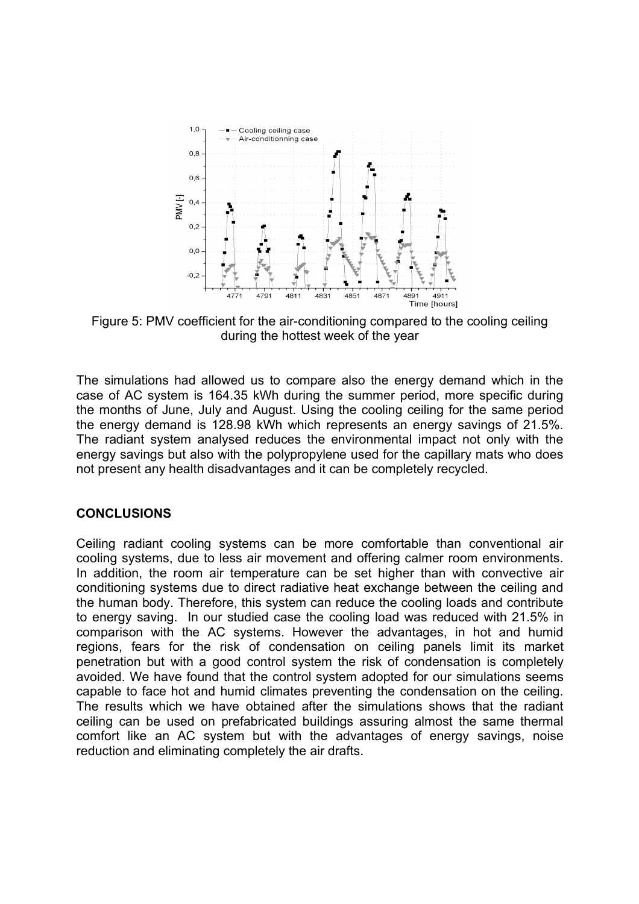

Figure 5: PMV coefficient for the air-conditioning compared to the cooling ceiling during the hottest week of the year

The simulations had allowed us to compare also the energy demand which in the case of AC system is 164.35 kWh during the summer period, more specific during the months of June, July and August. Using the cooling ceiling for the same period the energy demand is 128.98 kWh which represents an energy savings of 21.5%. The radiant system analysed reduces the environmental impact not only with the energy savings but also with the polypropylene used for the capillary mats who does not present any health disadvantages and it can be completely recycled.

### **CONCLUSIONS**

Ceiling radiant cooling systems can be more comfortable than conventional air cooling systems, due to less air movement and offering calmer room environments. In addition, the room air temperature can be set higher than with convective air conditioning systems due to direct radiative heat exchange between the ceiling and the human body. Therefore, this system can reduce the cooling loads and contribute to energy saving. In our studied case the cooling load was reduced with 21.5% in comparison with the AC systems. However the advantages, in hot and humid regions, fears for the risk of condensation on ceiling panels limit its market penetration but with a good control system the risk of condensation is completely avoided. We have found that the control system adopted for our simulations seems capable to face hot and humid climates preventing the condensation on the ceiling. The results which we have obtained after the simulations shows that the radiant ceiling can be used on prefabricated buildings assuring almost the same thermal comfort like an AC system but with the advantages of energy savings, noise reduction and eliminating completely the air drafts.